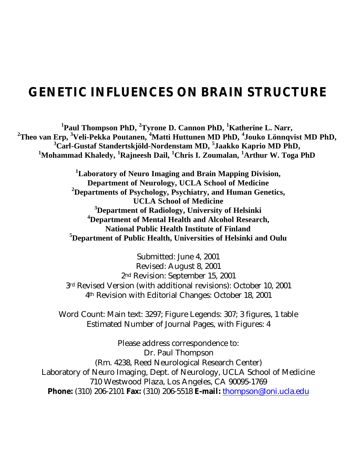# **GENETIC INFLUENCES ON BRAIN STRUCTURE**

**Paul Thompson PhD, <sup>2</sup>Tyrone D. Cannon PhD, <sup>1</sup>Katherine L. Narr, Theo van Erp, <sup>3</sup>Veli-Pekka Poutanen, <sup>4</sup>Matti Huttunen MD PhD, <sup>4</sup> Jouko Lönnqvist MD PhD, Carl-Gustaf Standertskjöld-Nordenstam MD, <sup>5</sup> Jaakko Kaprio MD PhD, Mohammad Khaledy, <sup>1</sup>Rajneesh Dail, <sup>1</sup>Chris I. Zoumalan, <sup>1</sup>Arthur W. Toga PhD** 

> **Laboratory of Neuro Imaging and Brain Mapping Division, Department of Neurology, UCLA School of Medicine Departments of Psychology, Psychiatry, and Human Genetics, UCLA School of Medicine Department of Radiology, University of Helsinki Department of Mental Health and Alcohol Research, National Public Health Institute of Finland Department of Public Health, Universities of Helsinki and Oulu**

Submitted: June 4, 2001 Revised: August 8, 2001 2nd Revision: September 15, 2001 3rd Revised Version (with additional revisions): October 10, 2001 4th Revision with Editorial Changes: October 18, 2001

Word Count: Main text: 3297; Figure Legends: 307; 3 figures, 1 table Estimated Number of Journal Pages, with Figures: 4

Please address correspondence to: Dr. Paul Thompson (Rm. 4238, Reed Neurological Research Center) Laboratory of Neuro Imaging, Dept. of Neurology, UCLA School of Medicine 710 Westwood Plaza, Los Angeles, CA 90095-1769 **Phone:** (310) 206-2101 **Fax:** (310) 206-5518 **E-mail:** thompson@loni.ucla.edu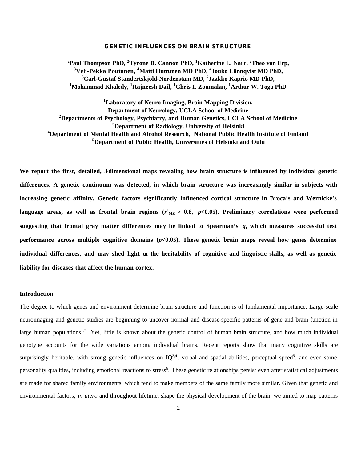#### **GENETIC INFLUENCES ON BRAIN STRUCTURE**

**<sup>c</sup>Paul Thompson PhD, <sup>2</sup>Tyrone D. Cannon PhD, <sup>1</sup>Katherine L. Narr, <sup>2</sup>Theo van Erp, Veli-Pekka Poutanen, <sup>4</sup>Matti Huttunen MD PhD, <sup>4</sup> Jouko Lönnqvist MD PhD, Carl-Gustaf Standertskjöld-Nordenstam MD, <sup>5</sup> Jaakko Kaprio MD PhD, Mohammad Khaledy, <sup>1</sup>Rajneesh Dail, <sup>1</sup>Chris I. Zoumalan, <sup>1</sup>Arthur W. Toga PhD** 

**Laboratory of Neuro Imaging, Brain Mapping Division, Department of Neurology, UCLA School of Medicine Departments of Psychology, Psychiatry, and Human Genetics, UCLA School of Medicine Department of Radiology, University of Helsinki Department of Mental Health and Alcohol Research, National Public Health Institute of Finland Department of Public Health, Universities of Helsinki and Oulu**

We report the first, detailed, 3-dimensional maps revealing how brain structure is influenced by individual genetic **differences. A genetic continuum was detected, in which brain structure was increasingly similar in subjects with increasing genetic affinity. Genetic factors significantly influenced cortical structure in Broca's and Wernicke's**  language areas, as well as frontal brain regions ( $r^2_{\rm {MZ}}$   $>$  0.8,  $~p$ <0.05). Preliminary correlations were performed **suggesting that frontal gray matter differences may be linked to Spearman's** *g***, which measures successful test performance across multiple cognitive domains**  $(p<0.05)$ **. These genetic brain maps reveal how genes determine individual differences, and may shed light on the heritability of cognitive and linguistic skills, as well as genetic liability for diseases that affect the human cortex.**

#### **Introduction**

The degree to which genes and environment determine brain structure and function is of fundamental importance. Large-scale neuroimaging and genetic studies are beginning to uncover normal and disease-specific patterns of gene and brain function in large human populations<sup>1,2</sup>. Yet, little is known about the genetic control of human brain structure, and how much individual genotype accounts for the wide variations among individual brains. Recent reports show that many cognitive skills are surprisingly heritable, with strong genetic influences on  $IQ^{3,4}$ , verbal and spatial abilities, perceptual speed<sup>5</sup>, and even some personality qualities, including emotional reactions to stress<sup>6</sup>. These genetic relationships persist even after statistical adjustments are made for shared family environments, which tend to make members of the same family more similar. Given that genetic and environmental factors, *in utero* and throughout lifetime, shape the physical development of the brain, we aimed to map patterns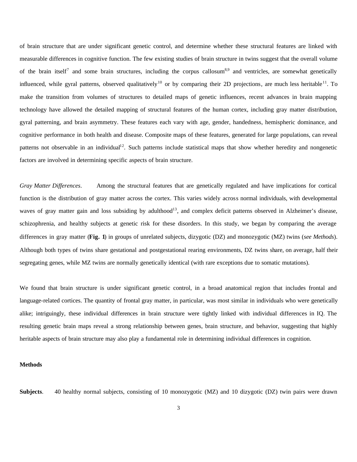of brain structure that are under significant genetic control, and determine whether these structural features are linked with measurable differences in cognitive function. The few existing studies of brain structure in twins suggest that the overall volume of the brain itself<sup>7</sup> and some brain structures, including the corpus callosum<sup>8,9</sup> and ventricles, are somewhat genetically influenced, while gyral patterns, observed qualitatively<sup>10</sup> or by comparing their 2D projections, are much less heritable<sup>11</sup>. To make the transition from volumes of structures to detailed maps of genetic influences, recent advances in brain mapping technology have allowed the detailed mapping of structural features of the human cortex, including gray matter distribution, gyral patterning, and brain asymmetry. These features each vary with age, gender, handedness, hemispheric dominance, and cognitive performance in both health and disease. Composite maps of these features, generated for large populations, can reveal patterns not observable in an individual<sup>12</sup>. Such patterns include statistical maps that show whether heredity and nongenetic factors are involved in determining specific aspects of brain structure.

*Gray Matter Differences*. Among the structural features that are genetically regulated and have implications for cortical function is the distribution of gray matter across the cortex. This varies widely across normal individuals, with developmental waves of gray matter gain and loss subsiding by adulthood<sup>13</sup>, and complex deficit patterns observed in Alzheimer's disease, schizophrenia, and healthy subjects at genetic risk for these disorders. In this study, we began by comparing the average differences in gray matter (**Fig. 1**) in groups of unrelated subjects, dizygotic (DZ) and monozygotic (MZ) twins (*see Methods*)*.* Although both types of twins share gestational and postgestational rearing environments, DZ twins share, on average, half their segregating genes, while MZ twins are normally genetically identical (with rare exceptions due to somatic mutations).

We found that brain structure is under significant genetic control, in a broad anatomical region that includes frontal and language-related cortices. The quantity of frontal gray matter, in particular, was most similar in individuals who were genetically alike; intriguingly, these individual differences in brain structure were tightly linked with individual differences in IQ. The resulting genetic brain maps reveal a strong relationship between genes, brain structure, and behavior, suggesting that highly heritable aspects of brain structure may also play a fundamental role in determining individual differences in cognition.

#### **Methods**

**Subjects**. 40 healthy normal subjects, consisting of 10 monozygotic (MZ) and 10 dizygotic (DZ) twin pairs were drawn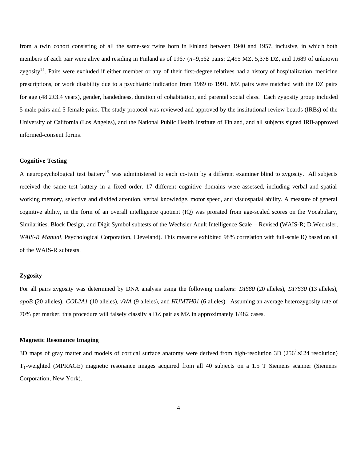from a twin cohort consisting of all the same-sex twins born in Finland between 1940 and 1957, inclusive, in whic h both members of each pair were alive and residing in Finland as of 1967 (*n*=9,562 pairs: 2,495 MZ, 5,378 DZ, and 1,689 of unknown zygosity<sup>14</sup>. Pairs were excluded if either member or any of their first-degree relatives had a history of hospitalization, medicine prescriptions, or work disability due to a psychiatric indication from 1969 to 1991. MZ pairs were matched with the DZ pairs for age (48.2±3.4 years), gender, handedness, duration of cohabitation, and parental social class. Each zygosity group included 5 male pairs and 5 female pairs. The study protocol was reviewed and approved by the institutional review boards (IRBs) of the University of California (Los Angeles), and the National Public Health Institute of Finland, and all subjects signed IRB-approved informed-consent forms.

# **Cognitive Testing**

A neuropsychological test battery<sup>15</sup> was administered to each co-twin by a different examiner blind to zygosity. All subjects received the same test battery in a fixed order. 17 different cognitive domains were assessed, including verbal and spatial working memory, selective and divided attention, verbal knowledge, motor speed, and visuospatial ability. A measure of general cognitive ability, in the form of an overall intelligence quotient (IQ) was prorated from age-scaled scores on the Vocabulary, Similarities, Block Design, and Digit Symbol subtests of the Wechsler Adult Intelligence Scale – Revised (WAIS-R; D.Wechsler, *WAIS-R Manual*, Psychological Corporation, Cleveland). This measure exhibited 98% correlation with full-scale IQ based on all of the WAIS-R subtests.

# **Zygosity**

For all pairs zygosity was determined by DNA analysis using the following markers: *DIS80* (20 alleles), *DI7S30* (13 alleles), *apoB* (20 alleles), *COL2A1* (10 alleles), *vWA* (9 alleles), and *HUMTH01* (6 alleles). Assuming an average heterozygosity rate of 70% per marker, this procedure will falsely classify a DZ pair as MZ in approximately 1/482 cases.

# **Magnetic Resonance Imaging**

3D maps of gray matter and models of cortical surface anatomy were derived from high-resolution 3D  $(256^2 \times 124$  resolution) T1-weighted (MPRAGE) magnetic resonance images acquired from all 40 subjects on a 1.5 T Siemens scanner (Siemens Corporation, New York).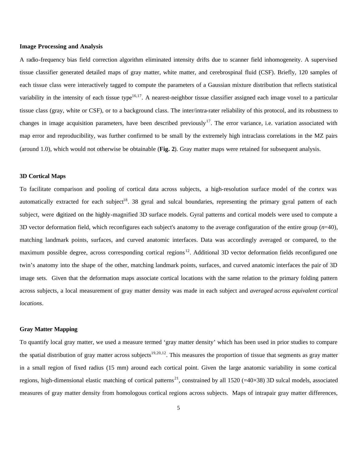### **Image Processing and Analysis**

A radio-frequency bias field correction algorithm eliminated intensity drifts due to scanner field inhomogeneity. A supervised tissue classifier generated detailed maps of gray matter, white matter, and cerebrospinal fluid (CSF). Briefly, 120 samples of each tissue class were interactively tagged to compute the parameters of a Gaussian mixture distribution that reflects statistical variability in the intensity of each tissue type<sup>16,17</sup>. A nearest-neighbor tissue classifier assigned each image voxel to a particular tissue class (gray, white or CSF), or to a background class. The inter/intra-rater reliability of this protocol, and its robustness to changes in image acquisition parameters, have been described previously<sup>17</sup>. The error variance, i.e. variation associated with map error and reproducibility, was further confirmed to be small by the extremely high intraclass correlations in the MZ pairs (around 1.0), which would not otherwise be obtainable (**Fig. 2**). Gray matter maps were retained for subsequent analysis.

#### **3D Cortical Maps**

To facilitate comparison and pooling of cortical data across subjects, a high-resolution surface model of the cortex was automatically extracted for each subject<sup>18</sup>. 38 gyral and sulcal boundaries, representing the primary gyral pattern of each subject, were digitized on the highly-magnified 3D surface models. Gyral patterns and cortical models were used to compute a 3D vector deformation field, which reconfigures each subject's anatomy to the average configuration of the entire group (*n*=40), matching landmark points, surfaces, and curved anatomic interfaces. Data was accordingly averaged or compared, to the maximum possible degree, across corresponding cortical regions<sup>12</sup>. Additional 3D vector deformation fields reconfigured one twin's anatomy into the shape of the other, matching landmark points, surfaces, and curved anatomic interfaces the pair of 3D image sets. Given that the deformation maps associate cortical locations with the same relation to the primary folding pattern across subjects, a local measurement of gray matter density was made in each subject and *averaged across equivalent cortical locations*.

#### **Gray Matter Mapping**

To quantify local gray matter, we used a measure termed 'gray matter density' which has been used in prior studies to compare the spatial distribution of gray matter across subjects<sup>19,20,12</sup>. This measures the proportion of tissue that segments as gray matter in a small region of fixed radius (15 mm) around each cortical point. Given the large anatomic variability in some cortical regions, high-dimensional elastic matching of cortical patterns<sup>21</sup>, constrained by all 1520 (=40×38) 3D sulcal models, associated measures of gray matter density from homologous cortical regions across subjects. Maps of intrapair gray matter differences,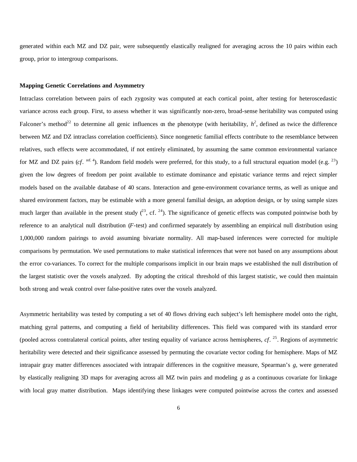generated within each MZ and DZ pair, were subsequently elastically realigned for averaging across the 10 pairs within each group, prior to intergroup comparisons.

#### **Mapping Genetic Correlations and Asymmetry**

Intraclass correlation between pairs of each zygosity was computed at each cortical point, after testing for heteroscedastic variance across each group. First, to assess whether it was significantly non-zero, broad-sense heritability was computed using Falconer's method<sup>22</sup> to determine all genic influences on the phenotype (with heritability,  $h^2$ , defined as twice the difference between MZ and DZ intraclass correlation coefficients). Since nongenetic familial effects contribute to the resemblance between relatives, such effects were accommodated, if not entirely eliminated, by assuming the same common environmental variance for MZ and DZ pairs (*cf.* <sup>ref. 4</sup>). Random field models were preferred, for this study, to a full structural equation model (e.g.  $^{23}$ ) given the low degrees of freedom per point available to estimate dominance and epistatic variance terms and reject simpler models based on the available database of 40 scans. Interaction and gene-environment covariance terms, as well as unique and shared environment factors, may be estimable with a more general familial design, an adoption design, or by using sample sizes much larger than available in the present study  $(^{23}$ , cf.  $^{24}$ ). The significance of genetic effects was computed pointwise both by reference to an analytical null distribution (*F*-test) and confirmed separately by assembling an empirical null distribution using 1,000,000 random pairings to avoid assuming bivariate normality. All map-based inferences were corrected for multiple comparisons by permutation. We used permutations to make statistical inferences that were not based on any assumptions about the error co-variances. To correct for the multiple comparisons implicit in our brain maps we established the null distribution of the largest statistic over the voxels analyzed. By adopting the critical threshold of this largest statistic, we could then maintain both strong and weak control over false-positive rates over the voxels analyzed.

Asymmetric heritability was tested by computing a set of 40 flows driving each subject's left hemisphere model onto the right, matching gyral patterns, and computing a field of heritability differences. This field was compared with its standard error (pooled across contralateral cortical points, after testing equality of variance across hemispheres, *cf*. <sup>25</sup>. Regions of asymmetric heritability were detected and their significance assessed by permuting the covariate vector coding for hemisphere. Maps of MZ intrapair gray matter differences associated with intrapair differences in the cognitive measure, Spearman's *g*, were generated by elastically realigning 3D maps for averaging across all MZ twin pairs and modeling *g* as a continuous covariate for linkage with local gray matter distribution. Maps identifying these linkages were computed pointwise across the cortex and assessed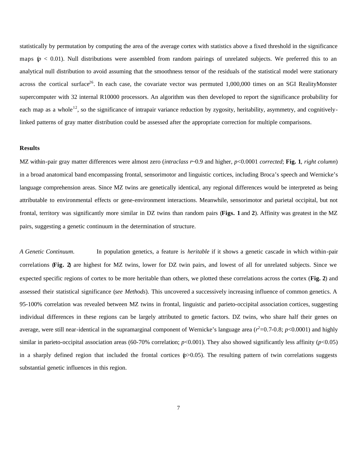statistically by permutation by computing the area of the average cortex with statistics above a fixed threshold in the significance maps  $(p < 0.01)$ . Null distributions were assembled from random pairings of unrelated subjects. We preferred this to an analytical null distribution to avoid assuming that the smoothness tensor of the residuals of the statistical model were stationary across the cortical surface<sup>26</sup>. In each case, the covariate vector was permuted  $1,000,000$  times on an SGI RealityMonster supercomputer with 32 internal R10000 processors. An algorithm was then developed to report the significance probability for each map as a whole<sup>12</sup>, so the significance of intrapair variance reduction by zygosity, heritability, asymmetry, and cognitivelylinked patterns of gray matter distribution could be assessed after the appropriate correction for multiple comparisons.

# **Results**

MZ within-pair gray matter differences were almost zero (*intraclass r*~0.9 and higher, *p*<0.0001 *corrected*; **Fig. 1**, *right column*) in a broad anatomical band encompassing frontal, sensorimotor and linguistic cortices, including Broca's speech and Wernicke's language comprehension areas. Since MZ twins are genetically identical, any regional differences would be interpreted as being attributable to environmental effects or gene-environment interactions. Meanwhile, sensorimotor and parietal occipital, but not frontal, territory was significantly more similar in DZ twins than random pairs (**Figs. 1** and **2**). Affinity was greatest in the MZ pairs, suggesting a genetic continuum in the determination of structure.

*A Genetic Continuum*. In population genetics, a feature is *heritable* if it shows a genetic cascade in which within-pair correlations (**Fig. 2**) are highest for MZ twins, lower for DZ twin pairs, and lowest of all for unrelated subjects. Since we expected specific regions of cortex to be more heritable than others, we plotted these correlations across the cortex (**Fig. 2**) and assessed their statistical significance (*see Methods*)*.* This uncovered a successively increasing influence of common genetics. A 95-100% correlation was revealed between MZ twins in frontal, linguistic and parieto-occipital association cortices, suggesting individual differences in these regions can be largely attributed to genetic factors. DZ twins, who share half their genes on average, were still near-identical in the supramarginal component of Wernicke's language area ( $r^2$ =0.7-0.8;  $p$ <0.0001) and highly similar in parieto-occipital association areas (60-70% correlation;  $p<0.001$ ). They also showed significantly less affinity ( $p<0.05$ ) in a sharply defined region that included the frontal cortices  $(p>0.05)$ . The resulting pattern of twin correlations suggests substantial genetic influences in this region.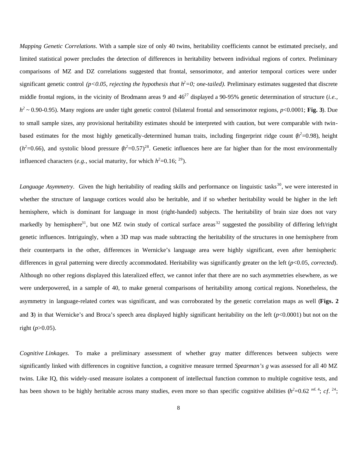*Mapping Genetic Correlations*. With a sample size of only 40 twins, heritability coefficients cannot be estimated precisely, and limited statistical power precludes the detection of differences in heritability between individual regions of cortex. Preliminary comparisons of MZ and DZ correlations suggested that frontal, sensorimotor, and anterior temporal cortices were under significant genetic control ( $p<0.05$ , rejecting the hypothesis that  $h^2=0$ ; one-tailed). Preliminary estimates suggested that discrete middle frontal regions, in the vicinity of Brodmann areas 9 and  $46^{27}$  displayed a 90-95% genetic determination of structure (*i.e.*, *h 2 ~* 0.90-0.95). Many regions are under tight genetic control (bilateral frontal and sensorimotor regions, *p*<0.0001; **Fig. 3**). Due to small sample sizes, any provisional heritability estimates should be interpreted with caution, but were comparable with twinbased estimates for the most highly genetically-determined human traits, including fingerprint ridge count  $(h^2=0.98)$ , height  $(h^2=0.66)$ , and systolic blood pressure  $(h^2=0.57)^{28}$ . Genetic influences here are far higher than for the most environmentally influenced characters (*e.g.*, social maturity, for which  $h^2$ =0.16; <sup>29</sup>).

*Language Asymmetry*. Given the high heritability of reading skills and performance on linguistic tasks<sup>30</sup>, we were interested in whether the structure of language cortices would also be heritable, and if so whether heritability would be higher in the left hemisphere, which is dominant for language in most (right-handed) subjects. The heritability of brain size does not vary markedly by hemisphere<sup>31</sup>, but one MZ twin study of cortical surface areas<sup>32</sup> suggested the possibility of differing left/right genetic influences. Intriguingly, when a 3D map was made subtracting the heritability of the structures in one hemisphere from their counterparts in the other, differences in Wernicke's language area were highly significant, even after hemispheric differences in gyral patterning were directly accommodated. Heritability was significantly greater on the left (*p*<0.05, *corrected*). Although no other regions displayed this lateralized effect, we cannot infer that there are no such asymmetries elsewhere, as we were underpowered, in a sample of 40, to make general comparisons of heritability among cortical regions. Nonetheless, the asymmetry in language-related cortex was significant, and was corroborated by the genetic correlation maps as well (**Figs. 2** and **3**) in that Wernicke's and Broca's speech area displayed highly significant heritability on the left (*p*<0.0001) but not on the right  $(p>0.05)$ .

*Cognitive Linkages*. To make a preliminary assessment of whether gray matter differences between subjects were significantly linked with differences in cognitive function, a cognitive measure termed *Spearman's g* was assessed for all 40 MZ twins. Like IQ, this widely-used measure isolates a component of intellectual function common to multiple cognitive tests, and has been shown to be highly heritable across many studies, even more so than specific cognitive abilities  $(h^2=0.62 \text{ ref. }^2; cf.^24;$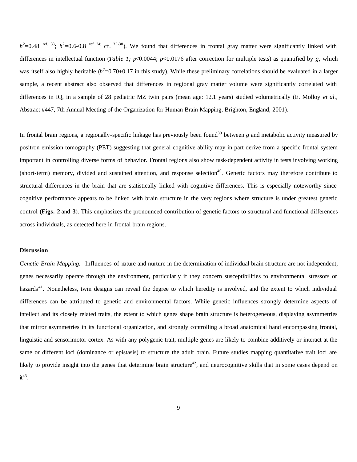$h^2$ =0.48 ref. 33;  $h^2$ =0.6-0.8 ref. 34; cf. 35-38). We found that differences in frontal gray matter were significantly linked with differences in intellectual function (*Table 1; p*<0.0044; *p*<0.0176 after correction for multiple tests) as quantified by *g,* which was itself also highly heritable  $(h^2=0.70\pm0.17$  in this study). While these preliminary correlations should be evaluated in a larger sample, a recent abstract also observed that differences in regional gray matter volume were significantly correlated with differences in IQ, in a sample of 28 pediatric MZ twin pairs (mean age: 12.1 years) studied volumetrically (E. Molloy *et al*., Abstract #447, 7th Annual Meeting of the Organization for Human Brain Mapping, Brighton, England, 2001).

In frontal brain regions, a regionally-specific linkage has previously been found<sup>39</sup> between *g* and metabolic activity measured by positron emission tomography (PET) suggesting that general cognitive ability may in part derive from a specific frontal system important in controlling diverse forms of behavior. Frontal regions also show task-dependent activity in tests involving working (short-term) memory, divided and sustained attention, and response selection<sup>40</sup>. Genetic factors may therefore contribute to structural differences in the brain that are statistically linked with cognitive differences. This is especially noteworthy since cognitive performance appears to be linked with brain structure in the very regions where structure is under greatest genetic control (**Figs. 2** and **3**). This emphasizes the pronounced contribution of genetic factors to structural and functional differences across individuals, as detected here in frontal brain regions.

# **Discussion**

*Genetic Brain Mapping.* Influences of nature and nurture in the determination of individual brain structure are not independent; genes necessarily operate through the environment, particularly if they concern susceptibilities to environmental stressors or hazards<sup>41</sup>. Nonetheless, twin designs can reveal the degree to which heredity is involved, and the extent to which individual differences can be attributed to genetic and environmental factors. While genetic influences strongly determine aspects of intellect and its closely related traits, the extent to which genes shape brain structure is heterogeneous, displaying asymmetries that mirror asymmetries in its functional organization, and strongly controlling a broad anatomical band encompassing frontal, linguistic and sensorimotor cortex. As with any polygenic trait, multiple genes are likely to combine additively or interact at the same or different loci (dominance or epistasis) to structure the adult brain. Future studies mapping quantitative trait loci are likely to provide insight into the genes that determine brain structure<sup>42</sup>, and neurocognitive skills that in some cases depend on  $it^{43}$ .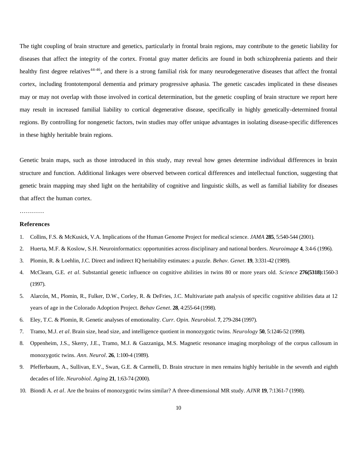The tight coupling of brain structure and genetics, particularly in frontal brain regions, may contribute to the genetic liability for diseases that affect the integrity of the cortex. Frontal gray matter deficits are found in both schizophrenia patients and their healthy first degree relatives<sup>44-46</sup>, and there is a strong familial risk for many neurodegenerative diseases that affect the frontal cortex, including frontotemporal dementia and primary progressive aphasia. The genetic cascades implicated in these diseases may or may not overlap with those involved in cortical determination, but the genetic coupling of brain structure we report here may result in increased familial liability to cortical degenerative disease, specifically in highly genetically-determined frontal regions. By controlling for nongenetic factors, twin studies may offer unique advantages in isolating disease-specific differences in these highly heritable brain regions.

Genetic brain maps, such as those introduced in this study, may reveal how genes determine individual differences in brain structure and function. Additional linkages were observed between cortical differences and intellectual function, suggesting that genetic brain mapping may shed light on the heritability of cognitive and linguistic skills, as well as familial liability for diseases that affect the human cortex.

# …………

# **References**

- 1. Collins, F.S. & McKusick, V.A. Implications of the Human Genome Project for medical science. *JAMA* **285**, 5:540-544 (2001).
- 2. Huerta, M.F. & Koslow, S.H. Neuroinformatics: opportunities across disciplinary and national borders. *Neuroimage* **4**, 3:4-6 (1996).
- 3. Plomin, R. & Loehlin, J.C. Direct and indirect IQ heritability estimates: a puzzle. *Behav. Genet*. **19**, 3:331-42 (1989).
- 4. McClearn, G.E. *et al.* Substantial genetic influence on cognitive abilities in twins 80 or more years old. *Science* **276(5318):**1560-3 (1997).
- 5. Alarcón, M., Plomin, R., Fulker, D.W., Corley, R. & DeFries, J.C. Multivariate path analysis of specific cognitive abilities data at 12 years of age in the Colorado Adoption Project. *Behav Genet*. **28**, 4:255-64 (1998).
- 6. Eley, T.C. & Plomin, R. Genetic analyses of emotionality. *Curr. Opin. Neurobiol*. **7**, 279-284 (1997).
- 7. Tramo, M.J. *et al.* Brain size, head size, and intelligence quotient in monozygotic twins. *Neurology* **50**, 5:1246-52 (1998).
- 8. Oppenheim, J.S., Skerry, J.E., Tramo, M.J. & Gazzaniga, M.S. Magnetic resonance imaging morphology of the corpus callosum in monozygotic twins. *Ann. Neurol*. **26**, 1:100-4 (1989).
- 9. Pfefferbaum, A., Sullivan, E.V., Swan, G.E. & Carmelli, D. Brain structure in men remains highly heritable in the seventh and eighth decades of life. *Neurobiol. Aging* **21**, 1:63-74 (2000).
- 10. Biondi A. *et al*. Are the brains of monozygotic twins similar? A three-dimensional MR study. *AJNR* **19**, 7:1361-7 (1998).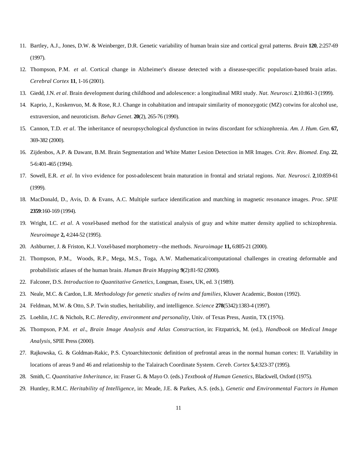- 11. Bartley, A.J., Jones, D.W. & Weinberger, D.R. Genetic variability of human brain size and cortical gyral patterns. *Brain* **120**, 2:257-69 (1997).
- 12. Thompson, P.M. *et al*. Cortical change in Alzheimer's disease detected with a disease-specific population-based brain atlas. *Cerebral Cortex* **11**, 1-16 (2001).
- 13. Giedd, J.N. *et al.* Brain development during childhood and adolescence: a longitudinal MRI study. *Nat. Neurosci.* **2**,10:861-3 (1999).
- 14. Kaprio, J., Koskenvuo, M. & Rose, R.J. Change in cohabitation and intrapair similarity of monozygotic (MZ) cotwins for alcohol use, extraversion, and neuroticism. *Behav Genet.* **20**(2), 265-76 (1990).
- 15. Cannon, T.D. *et al*. The inheritance of neuropsychological dysfunction in twins discordant for schizophrenia. *Am. J. Hum. Gen*. **67,**  369-382 (2000).
- 16. Zijdenbos, A.P. & Dawant, B.M. Brain Segmentation and White Matter Lesion Detection in MR Images. *Crit. Rev. Biomed. Eng.* **22**, 5-6:401-465 (1994).
- 17. Sowell, E.R. *et al*. In vivo evidence for post-adolescent brain maturation in frontal and striatal regions. *Nat. Neurosci.* **2**,10:859-61 (1999).
- 18. MacDonald, D., Avis, D. & Evans, A.C. Multiple surface identification and matching in magnetic resonance images. *Proc. SPIE*  **2359**:160-169 (1994).
- 19. Wright, I.C. *et al*. A voxel-based method for the statistical analysis of gray and white matter density applied to schizophrenia. *Neuroimage* **2,** 4:244-52 (1995).
- 20. Ashburner, J. & Friston, K.J. Voxel-based morphometry--the methods. *Neuroimage* **11,** 6:805-21 (2000).
- 21. Thompson, P.M., Woods, R.P., Mega, M.S., Toga, A.W. Mathematical/computational challenges in creating deformable and probabilistic atlases of the human brain. *Human Brain Mapping* **9**(2):81-92 (2000).
- 22. Falconer, D.S. *Introduction to Quantitative Genetics,* Longman, Essex, UK, ed. 3 (1989).
- 23. Neale, M.C. & Cardon, L.R. *Methodology for genetic studies of twins and families*, Kluwer Academic, Boston (1992).
- 24. Feldman, M.W. & Otto, S.P. Twin studies, heritability, and intelligence. *Science* **278**(5342):1383-4 (1997).
- 25. Loehlin, J.C. & Nichols, R.C. *Heredity, environment and personality*, Univ. of Texas Press, Austin, TX (1976).
- 26. Thompson, P.M. *et al*., *Brain Image Analysis and Atlas Construction,* in: Fitzpatrick, M. (ed.), *Handbook on Medical Image Analysis*, SPIE Press (2000).
- 27. Rajkowska, G. & Goldman-Rakic, P.S. Cytoarchitectonic definition of prefrontal areas in the normal human cortex: II. Variability in locations of areas 9 and 46 and relationship to the Talairach Coordinate System. *Cereb. Cortex* **5**,4:323-37 (1995).
- 28. Smith, C. *Quantitative Inheritance*, in: Fraser G. & Mayo O. (eds.) *Textbook of Human Genetics*, Blackwell, Oxford (1975).
- 29. Huntley, R.M.C. *Heritability of Intelligence*, in: Meade, J.E. & Parkes, A.S. (eds.), *Genetic and Environmental Factors in Human*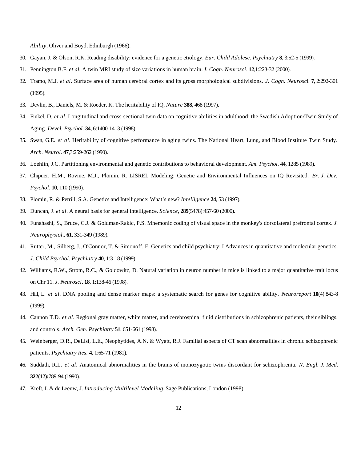*Ability*, Oliver and Boyd, Edinburgh (1966).

- 30. Gayan, J. & Olson, R.K. Reading disability: evidence for a genetic etiology. *Eur. Child Adolesc. Psychiatry* **8**, 3:52-5 (1999).
- 31. Pennington B.F. *et al.* A twin MRI study of size variations in human brain. *J. Cogn. Neurosci*. **12**,1:223-32 (2000).
- 32. Tramo, M.J. *et al*. Surface area of human cerebral cortex and its gross morphological subdivisions. *J. Cogn. Neurosc*i. **7**, 2:292-301 (1995).
- 33. Devlin, B., Daniels, M. & Roeder, K. The heritability of IQ. *Nature* **388**, 468 (1997).
- 34. Finkel, D. *et al*. Longitudinal and cross-sectional twin data on cognitive abilities in adulthood: the Swedish Adoption/Twin Study of Aging. *Devel. Psychol*. **34**, 6:1400-1413 (1998).
- 35. Swan, G.E. *et al*. Heritability of cognitive performance in aging twins. The National Heart, Lung, and Blood Institute Twin Study. *Arch. Neurol*. **47**,3:259-262 (1990).
- 36. Loehlin, J.C. Partitioning environmental and genetic contributions to behavioral development. *Am. Psychol*. **44**, 1285 (1989).
- 37. Chipuer, H.M., Rovine, M.J., Plomin, R. LISREL Modeling: Genetic and Environmental Influences on IQ Revisited. *Br. J. Dev. Psychol*. **10**, 110 (1990).
- 38. Plomin, R. & Petrill, S.A. Genetics and Intelligence: What's new? *Intelligence* **24**, 53 (1997).
- 39. Duncan, J. *et al*. A neural basis for general intelligence. *Science*, **289**(5478):457-60 (2000).
- 40. Funahashi, S., Bruce, C.J. & Goldman-Rakic, P.S. Mnemonic coding of visual space in the monkey's dorsolateral prefrontal cortex. *J. Neurophysiol*., **61**, 331-349 (1989).
- 41. Rutter, M., Silberg, J., O'Connor, T. & Simonoff, E. Genetics and child psychiatry: I Advances in quantitative and molecular genetics. *J. Child Psychol. Psychiatry* **40**, 1:3-18 (1999).
- 42. Williams, R.W., Strom, R.C., & Goldowitz, D. Natural variation in neuron number in mice is linked to a major quantitative trait locus on Chr 11. *J. Neurosci*. **18**, 1:138-46 (1998).
- 43. Hill, L. *et al*. DNA pooling and dense marker maps: a systematic search for genes for cognitive ability. *Neuroreport* **10**(4):843-8 (1999).
- 44. Cannon T.D. *et al*. Regional gray matter, white matter, and cerebrospinal fluid distributions in schizophrenic patients, their siblings, and controls. *Arch. Gen. Psychiatry* **51**, 651-661 (1998).
- 45. Weinberger, D.R., DeLisi, L.E., Neophytides, A.N. & Wyatt, R.J. Familial aspects of CT scan abnormalities in chronic schizophrenic patients. *Psychiatry Res.* **4**, 1:65-71 (1981).
- 46. Suddath, R.L. *et al*. Anatomical abnormalities in the brains of monozygotic twins discordant for schizophrenia. *N. Engl. J. Med.* **322(12):**789-94 (1990).
- 47. Kreft, I. & de Leeuw, J. *Introducing Multilevel Modeling.* Sage Publications, London (1998).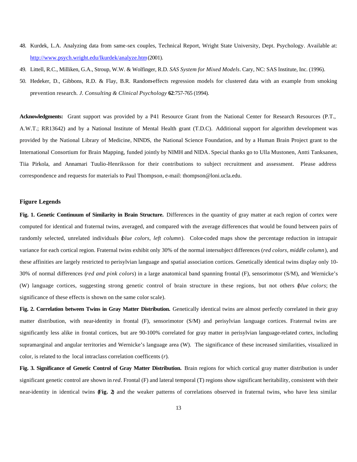- 48. Kurdek, L.A. Analyzing data from same-sex couples, Technical Report, Wright State University, Dept. Psychology. Available at: http://www.psych.wright.edu/lkurdek/analyze.htm (2001).
- 49. Littell, R.C., Milliken, G.A., Stroup, W.W. & Wolfinger, R.D. *SAS System for Mixed Models*. Cary, NC: SAS Institute, Inc. (1996).
- 50. Hedeker, D., Gibbons, R.D. & Flay, B.R. Random-effects regression models for clustered data with an example from smoking prevention research*. J. Consulting & Clinical Psychology* **62**:757-765 (1994).

**Acknowledgments:** Grant support was provided by a P41 Resource Grant from the National Center for Research Resources (P.T., A.W.T.; RR13642) and by a National Institute of Mental Health grant (T.D.C). Additional support for algorithm development was provided by the National Library of Medicine, NINDS, the National Science Foundation, and by a Human Brain Project grant to the International Consortium for Brain Mapping, funded jointly by NIMH and NIDA. Special thanks go to Ulla Mustonen, Antti Tanksanen, Tiia Pirkola, and Annamari Tuulio-Henriksson for their contributions to subject recruitment and assessment. Please address correspondence and requests for materials to Paul Thompson, e-mail: thompson@loni.ucla.edu.

# **Figure Legends**

Fig. 1. Genetic Continuum of Similarity in Brain Structure. Differences in the quantity of gray matter at each region of cortex were computed for identical and fraternal twins, averaged, and compared with the average differences that would be found between pairs of randomly selected, unrelated individuals *(blue colors, left column*). Color-coded maps show the percentage reduction in intrapair variance for each cortical region. Fraternal twins exhibit only 30% of the normal intersubject differences (*red colors, middle column*), and these affinities are largely restricted to perisylvian language and spatial association cortices. Genetically identical twins display only 10- 30% of normal differences (*red and pink colors*) in a large anatomical band spanning frontal (F), sensorimotor (S/M), and Wernicke's (W) language cortices, suggesting strong genetic control of brain structure in these regions, but not others (*blue colors*; the significance of these effects is shown on the same color scale).

Fig. 2. Correlation between Twins in Gray Matter Distribution. Genetically identical twins are almost perfectly correlated in their gray matter distribution, with near-identity in frontal (F), sensorimotor (S/M) and perisylvian language cortices. Fraternal twins are significantly less alike in frontal cortices, but are 90-100% correlated for gray matter in perisylvian language-related cortex, including supramarginal and angular territories and Wernicke's language area (W). The significance of these increased similarities, visualized in color, is related to the local intraclass correlation coefficents (*r*).

**Fig. 3. Significance of Genetic Control of Gray Matter Distribution.** Brain regions for which cortical gray matter distribution is under significant genetic control are shown in *red*. Frontal (F) and lateral temporal (T) regions show significant heritability, consistent with their near-identity in identical twins (**Fig. 2**) and the weaker patterns of correlations observed in fraternal twins, who have less similar